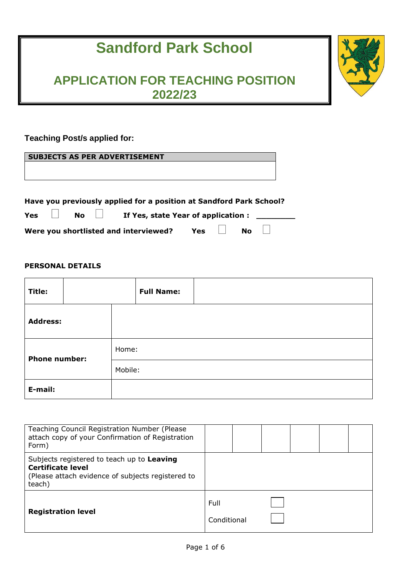# **Sandford Park School**

# **APPLICATION FOR TEACHING POSITION 2022/23**

# **Teaching Post/s applied for:**

|     |           | <b>SUBJECTS AS PER ADVERTISEMENT</b>                                |                                     |  |  |  |
|-----|-----------|---------------------------------------------------------------------|-------------------------------------|--|--|--|
|     |           |                                                                     |                                     |  |  |  |
|     |           |                                                                     |                                     |  |  |  |
|     |           |                                                                     |                                     |  |  |  |
|     |           | Have you previously applied for a position at Sandford Park School? |                                     |  |  |  |
| Yes | <b>No</b> |                                                                     | If Yes, state Year of application : |  |  |  |

Were you shortlisted and interviewed? Yes  $\Box$  No

**PERSONAL DETAILS**

| Title:               |  |         | <b>Full Name:</b> |  |
|----------------------|--|---------|-------------------|--|
| <b>Address:</b>      |  |         |                   |  |
| <b>Phone number:</b> |  | Home:   |                   |  |
|                      |  | Mobile: |                   |  |
| E-mail:              |  |         |                   |  |

 $\Box$ 

| Teaching Council Registration Number (Please<br>attach copy of your Confirmation of Registration<br>Form)                             |                     |  |  |  |
|---------------------------------------------------------------------------------------------------------------------------------------|---------------------|--|--|--|
| Subjects registered to teach up to Leaving<br><b>Certificate level</b><br>(Please attach evidence of subjects registered to<br>teach) |                     |  |  |  |
| <b>Registration level</b>                                                                                                             | Full<br>Conditional |  |  |  |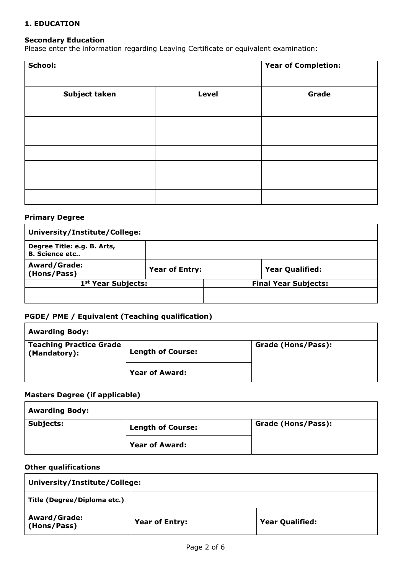#### **1. EDUCATION**

#### **Secondary Education**

Please enter the information regarding Leaving Certificate or equivalent examination:

| School:       | <b>Year of Completion:</b> |       |
|---------------|----------------------------|-------|
|               |                            |       |
| Subject taken | <b>Level</b>               | Grade |
|               |                            |       |
|               |                            |       |
|               |                            |       |
|               |                            |       |
|               |                            |       |
|               |                            |       |
|               |                            |       |

#### **Primary Degree**

| University/Institute/College:                        |                       |  |                             |  |  |
|------------------------------------------------------|-----------------------|--|-----------------------------|--|--|
| Degree Title: e.g. B. Arts,<br><b>B.</b> Science etc |                       |  |                             |  |  |
| <b>Award/Grade:</b><br>(Hons/Pass)                   | <b>Year of Entry:</b> |  | <b>Year Qualified:</b>      |  |  |
| 1 <sup>st</sup> Year Subjects:                       |                       |  | <b>Final Year Subjects:</b> |  |  |
|                                                      |                       |  |                             |  |  |

#### **PGDE/ PME / Equivalent (Teaching qualification)**

| <b>Awarding Body:</b>                          |                          |                    |  |  |  |  |
|------------------------------------------------|--------------------------|--------------------|--|--|--|--|
| <b>Teaching Practice Grade</b><br>(Mandatory): | <b>Length of Course:</b> | Grade (Hons/Pass): |  |  |  |  |
|                                                | <b>Year of Award:</b>    |                    |  |  |  |  |

### **Masters Degree (if applicable)**

| <b>Awarding Body:</b> |                          |                    |  |  |  |
|-----------------------|--------------------------|--------------------|--|--|--|
| <b>Subjects:</b>      | <b>Length of Course:</b> | Grade (Hons/Pass): |  |  |  |
|                       | <b>Year of Award:</b>    |                    |  |  |  |

#### **Other qualifications**

| University/Institute/College:      |                       |                        |  |  |
|------------------------------------|-----------------------|------------------------|--|--|
| Title (Degree/Diploma etc.)        |                       |                        |  |  |
| <b>Award/Grade:</b><br>(Hons/Pass) | <b>Year of Entry:</b> | <b>Year Qualified:</b> |  |  |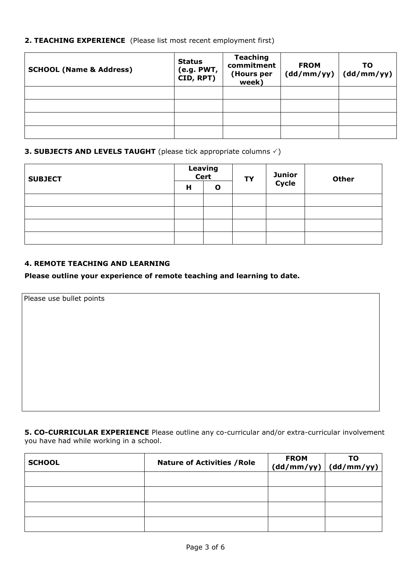## **2. TEACHING EXPERIENCE** (Please list most recent employment first)

| <b>SCHOOL (Name &amp; Address)</b> | <b>Status</b><br>(e.g. PWT,<br>CID, RPT) | <b>Teaching</b><br>commitment<br>(Hours per<br>week) | <b>FROM</b><br>(dd/mm/yy) | то<br>(dd/mm/yy) |
|------------------------------------|------------------------------------------|------------------------------------------------------|---------------------------|------------------|
|                                    |                                          |                                                      |                           |                  |
|                                    |                                          |                                                      |                           |                  |
|                                    |                                          |                                                      |                           |                  |
|                                    |                                          |                                                      |                           |                  |

# **3. SUBJECTS AND LEVELS TAUGHT** (please tick appropriate columns  $\checkmark$ )

| <b>SUBJECT</b> | Leaving<br>Cert |   | <b>TY</b> | <b>Junior<br/>Cycle</b> | <b>Other</b> |
|----------------|-----------------|---|-----------|-------------------------|--------------|
|                | Н               | O |           |                         |              |
|                |                 |   |           |                         |              |
|                |                 |   |           |                         |              |
|                |                 |   |           |                         |              |
|                |                 |   |           |                         |              |

## **4. REMOTE TEACHING AND LEARNING**

#### **Please outline your experience of remote teaching and learning to date.**

Please use bullet points

**5. CO-CURRICULAR EXPERIENCE** Please outline any co-curricular and/or extra-curricular involvement you have had while working in a school.

| <b>SCHOOL</b> | <b>Nature of Activities / Role</b> | <b>FROM</b> | то<br>$(dd/mm/yy)$ $(dd/mm/yy)$ |
|---------------|------------------------------------|-------------|---------------------------------|
|               |                                    |             |                                 |
|               |                                    |             |                                 |
|               |                                    |             |                                 |
|               |                                    |             |                                 |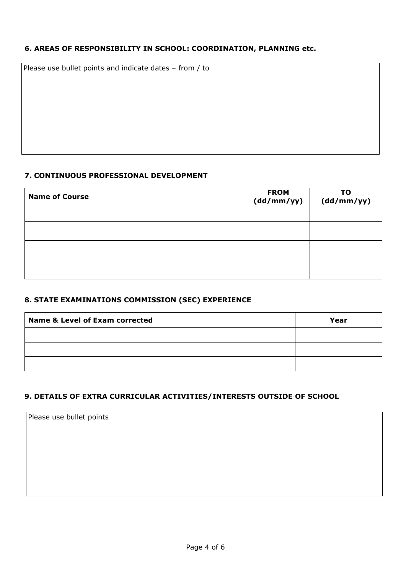# **6. AREAS OF RESPONSIBILITY IN SCHOOL: COORDINATION, PLANNING etc.**

Please use bullet points and indicate dates – from / to

# **7. CONTINUOUS PROFESSIONAL DEVELOPMENT**

| <b>Name of Course</b> | FROM<br>(dd/mm/yy) | ΤO<br>(dd/mm/yy) |
|-----------------------|--------------------|------------------|
|                       |                    |                  |
|                       |                    |                  |
|                       |                    |                  |
|                       |                    |                  |

# **8. STATE EXAMINATIONS COMMISSION (SEC) EXPERIENCE**

| <b>Name &amp; Level of Exam corrected</b> | Year |
|-------------------------------------------|------|
|                                           |      |
|                                           |      |
|                                           |      |

# **9. DETAILS OF EXTRA CURRICULAR ACTIVITIES/INTERESTS OUTSIDE OF SCHOOL**

Please use bullet points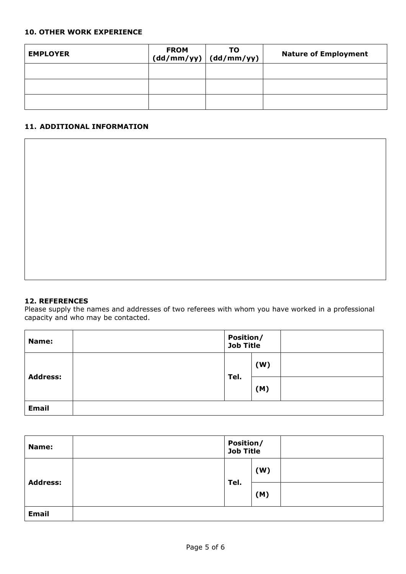#### **10. OTHER WORK EXPERIENCE**

| <b>EMPLOYER</b> | <b>FROM</b> | то<br>$(dd/mm/yy)$ $(dd/mm/yy)$ | <b>Nature of Employment</b> |
|-----------------|-------------|---------------------------------|-----------------------------|
|                 |             |                                 |                             |
|                 |             |                                 |                             |
|                 |             |                                 |                             |

#### **11. ADDITIONAL INFORMATION**

#### **12. REFERENCES**

Please supply the names and addresses of two referees with whom you have worked in a professional capacity and who may be contacted.

| Name:           | Position/<br>Job Title |     |  |
|-----------------|------------------------|-----|--|
| <b>Address:</b> | Tel.                   | (W) |  |
|                 |                        | (M) |  |
| <b>Email</b>    |                        |     |  |

| Name:           | <b>Position/<br/>Job Title</b> |     |  |
|-----------------|--------------------------------|-----|--|
| <b>Address:</b> | Tel.                           | (W) |  |
|                 |                                | (M) |  |
| <b>Email</b>    |                                |     |  |